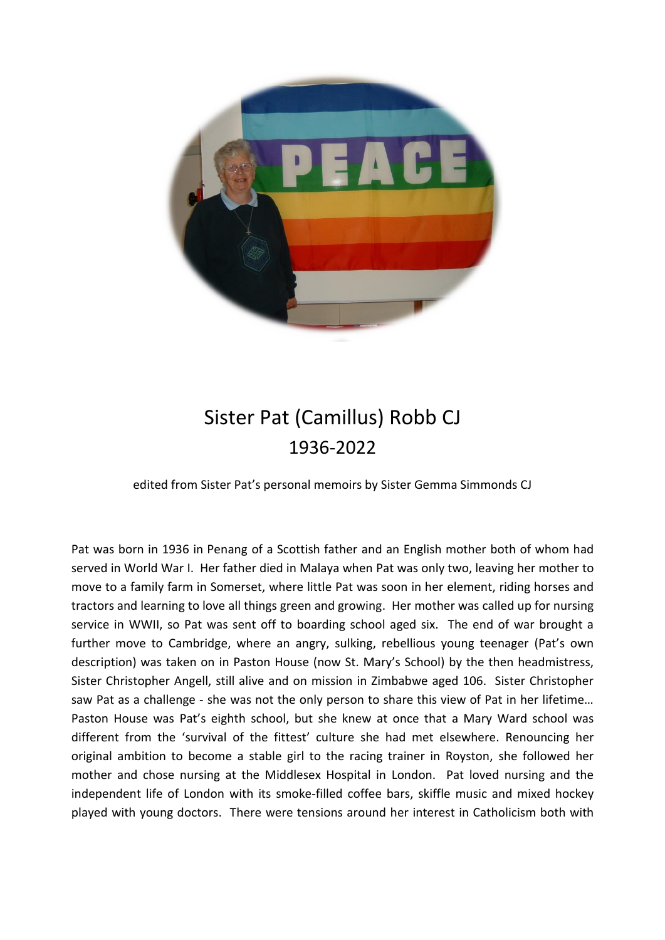

## Sister Pat (Camillus) Robb CJ 1936-2022

edited from Sister Pat's personal memoirs by Sister Gemma Simmonds CJ

Pat was born in 1936 in Penang of a Scottish father and an English mother both of whom had served in World War I. Her father died in Malaya when Pat was only two, leaving her mother to move to a family farm in Somerset, where little Pat was soon in her element, riding horses and tractors and learning to love all things green and growing. Her mother was called up for nursing service in WWII, so Pat was sent off to boarding school aged six. The end of war brought a further move to Cambridge, where an angry, sulking, rebellious young teenager (Pat's own description) was taken on in Paston House (now St. Mary's School) by the then headmistress, Sister Christopher Angell, still alive and on mission in Zimbabwe aged 106. Sister Christopher saw Pat as a challenge - she was not the only person to share this view of Pat in her lifetime... Paston House was Pat's eighth school, but she knew at once that a Mary Ward school was different from the 'survival of the fittest' culture she had met elsewhere. Renouncing her original ambition to become a stable girl to the racing trainer in Royston, she followed her mother and chose nursing at the Middlesex Hospital in London. Pat loved nursing and the independent life of London with its smoke-filled coffee bars, skiffle music and mixed hockey played with young doctors. There were tensions around her interest in Catholicism both with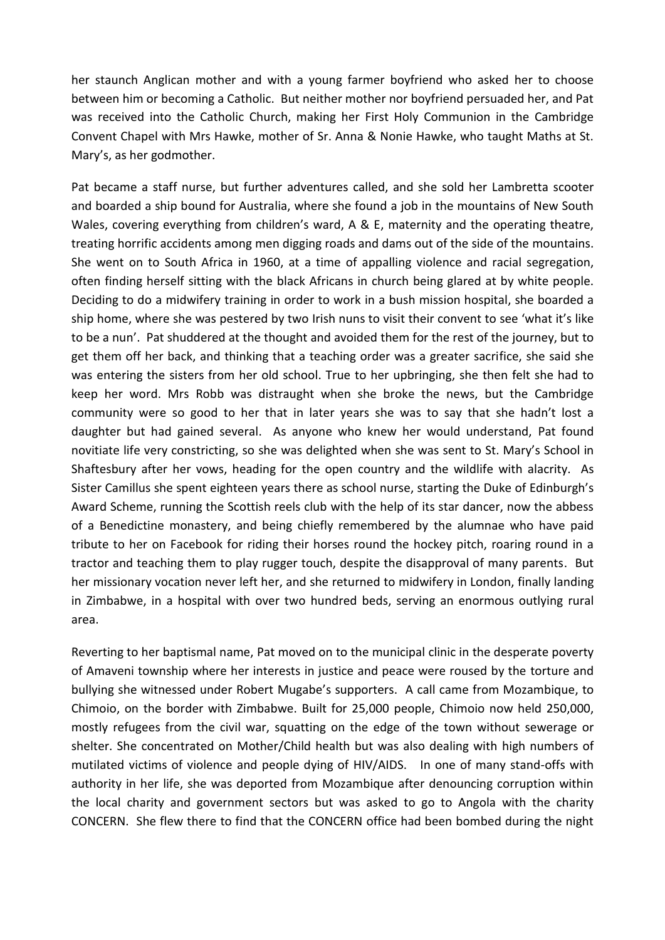her staunch Anglican mother and with a young farmer boyfriend who asked her to choose between him or becoming a Catholic. But neither mother nor boyfriend persuaded her, and Pat was received into the Catholic Church, making her First Holy Communion in the Cambridge Convent Chapel with Mrs Hawke, mother of Sr. Anna & Nonie Hawke, who taught Maths at St. Mary's, as her godmother.

Pat became a staff nurse, but further adventures called, and she sold her Lambretta scooter and boarded a ship bound for Australia, where she found a job in the mountains of New South Wales, covering everything from children's ward, A & E, maternity and the operating theatre, treating horrific accidents among men digging roads and dams out of the side of the mountains. She went on to South Africa in 1960, at a time of appalling violence and racial segregation, often finding herself sitting with the black Africans in church being glared at by white people. Deciding to do a midwifery training in order to work in a bush mission hospital, she boarded a ship home, where she was pestered by two Irish nuns to visit their convent to see 'what it's like to be a nun'. Pat shuddered at the thought and avoided them for the rest of the journey, but to get them off her back, and thinking that a teaching order was a greater sacrifice, she said she was entering the sisters from her old school. True to her upbringing, she then felt she had to keep her word. Mrs Robb was distraught when she broke the news, but the Cambridge community were so good to her that in later years she was to say that she hadn't lost a daughter but had gained several. As anyone who knew her would understand, Pat found novitiate life very constricting, so she was delighted when she was sent to St. Mary's School in Shaftesbury after her vows, heading for the open country and the wildlife with alacrity. As Sister Camillus she spent eighteen years there as school nurse, starting the Duke of Edinburgh's Award Scheme, running the Scottish reels club with the help of its star dancer, now the abbess of a Benedictine monastery, and being chiefly remembered by the alumnae who have paid tribute to her on Facebook for riding their horses round the hockey pitch, roaring round in a tractor and teaching them to play rugger touch, despite the disapproval of many parents. But her missionary vocation never left her, and she returned to midwifery in London, finally landing in Zimbabwe, in a hospital with over two hundred beds, serving an enormous outlying rural area.

Reverting to her baptismal name, Pat moved on to the municipal clinic in the desperate poverty of Amaveni township where her interests in justice and peace were roused by the torture and bullying she witnessed under Robert Mugabe's supporters. A call came from Mozambique, to Chimoio, on the border with Zimbabwe. Built for 25,000 people, Chimoio now held 250,000, mostly refugees from the civil war, squatting on the edge of the town without sewerage or shelter. She concentrated on Mother/Child health but was also dealing with high numbers of mutilated victims of violence and people dying of HIV/AIDS. In one of many stand-offs with authority in her life, she was deported from Mozambique after denouncing corruption within the local charity and government sectors but was asked to go to Angola with the charity CONCERN. She flew there to find that the CONCERN office had been bombed during the night